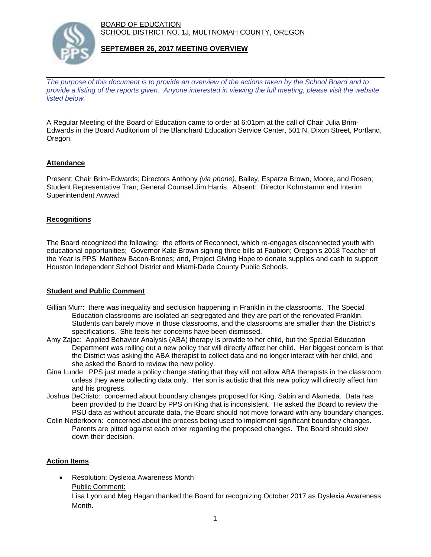BOARD OF EDUCATION SCHOOL DISTRICT NO. 1J, MULTNOMAH COUNTY, OREGON



#### **SEPTEMBER 26, 2017 MEETING OVERVIEW**

*The purpose of this document is to provide an overview of the actions taken by the School Board and to provide a listing of the reports given. Anyone interested in viewing the full meeting, please visit the website listed below.*

A Regular Meeting of the Board of Education came to order at 6:01pm at the call of Chair Julia Brim-Edwards in the Board Auditorium of the Blanchard Education Service Center, 501 N. Dixon Street, Portland, Oregon.

## **Attendance**

Present: Chair Brim-Edwards; Directors Anthony *(via phone)*, Bailey, Esparza Brown, Moore, and Rosen; Student Representative Tran; General Counsel Jim Harris. Absent: Director Kohnstamm and Interim Superintendent Awwad.

#### **Recognitions**

The Board recognized the following: the efforts of Reconnect, which re-engages disconnected youth with educational opportunities; Governor Kate Brown signing three bills at Faubion; Oregon's 2018 Teacher of the Year is PPS' Matthew Bacon-Brenes; and, Project Giving Hope to donate supplies and cash to support Houston Independent School District and Miami-Dade County Public Schools.

#### **Student and Public Comment**

- Gillian Murr: there was inequality and seclusion happening in Franklin in the classrooms. The Special Education classrooms are isolated an segregated and they are part of the renovated Franklin. Students can barely move in those classrooms, and the classrooms are smaller than the District's specifications. She feels her concerns have been dismissed.
- Amy Zajac: Applied Behavior Analysis (ABA) therapy is provide to her child, but the Special Education Department was rolling out a new policy that will directly affect her child. Her biggest concern is that the District was asking the ABA therapist to collect data and no longer interact with her child, and she asked the Board to review the new policy.
- Gina Lunde: PPS just made a policy change stating that they will not allow ABA therapists in the classroom unless they were collecting data only. Her son is autistic that this new policy will directly affect him and his progress.
- Joshua DeCristo: concerned about boundary changes proposed for King, Sabin and Alameda. Data has been provided to the Board by PPS on King that is inconsistent. He asked the Board to review the PSU data as without accurate data, the Board should not move forward with any boundary changes.
- Colin Nederkoorn: concerned about the process being used to implement significant boundary changes. Parents are pitted against each other regarding the proposed changes. The Board should slow down their decision.

## **Action Items**

 Resolution: Dyslexia Awareness Month Public Comment:

Lisa Lyon and Meg Hagan thanked the Board for recognizing October 2017 as Dyslexia Awareness Month.